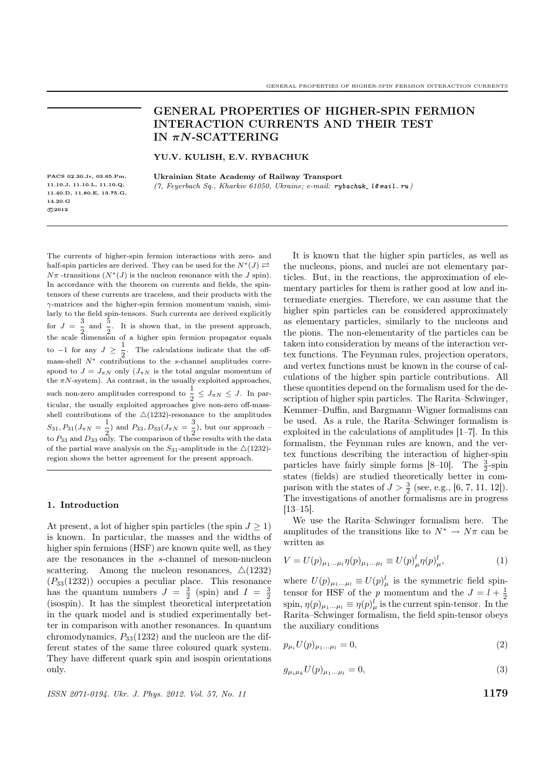# GENERAL PROPERTIES OF HIGHER-SPIN FERMION INTERACTION CURRENTS AND THEIR TEST IN  $\pi N$ -SCATTERING

YU.V. KULISH, E.V. RYBACHUK

PACS 02.30.Jr, 03.65.Pm, 11.10.J, 11.10.L, 11.10.Q, 11.40.D, 11.80.E, 13.75.G, 14.20.G c 2012

Ukrainian State Academy of Railway Transport (7, Feyerbach Sq., Kharkiv 61050, Ukraine; e-mail: rybachuk\_ l@mail. ru)

The currents of higher-spin fermion interactions with zero- and half-spin particles are derived. They can be used for the  $N^*(J) \rightleftarrows$  $N\pi$  -transitions  $(N^*(J))$  is the nucleon resonance with the J spin). In accordance with the theorem on currents and fields, the spintensors of these currents are traceless, and their products with the γ-matrices and the higher-spin fermion momentum vanish, similarly to the field spin-tensors. Such currents are derived explicitly for  $J = \frac{3}{2}$  $rac{3}{2}$  and  $rac{5}{2}$  $\frac{1}{2}$ . It is shown that, in the present approach, the scale dimension of a higher spin fermion propagator equals to -1 for any  $J \geq \frac{1}{2}$  $\frac{1}{2}$ . The calculations indicate that the offmass-shell  $N^*$  contributions to the s-channel amplitudes correspond to  $J = J_{\pi N}$  only  $(J_{\pi N}$  is the total angular momentum of the  $\pi N$ -system). As contrast, in the usually exploited approaches, such non-zero amplitudes correspond to  $\frac{1}{2}$  $\frac{1}{2} \leq J_{\pi N} \leq J$ . In particular, the usually exploited approaches give non-zero off-massshell contributions of the  $\triangle(1232)$ -resonance to the amplitudes  $S_{31}, P_{31}(J_{\pi N} = \frac{1}{2})$  $(\frac{1}{2})$  and  $P_{33}$ ,  $D_{33}(J_{\pi N} = \frac{3}{2})$  $\frac{1}{2}$ ), but our approach – to  $P_{33}$  and  $D_{33}$  only. The comparison of these results with the data of the partial wave analysis on the  $S_{31}$ -amplitude in the  $\triangle (1232)$ region shows the better agreement for the present approach.

#### 1. Introduction

At present, a lot of higher spin particles (the spin  $J \geq 1$ ) is known. In particular, the masses and the widths of higher spin fermions (HSF) are known quite well, as they are the resonances in the s-channel of meson-nucleon scattering. Among the nucleon resonances,  $\triangle(1232)$  $(P_{33}(1232))$  occupies a peculiar place. This resonance has the quantum numbers  $J = \frac{3}{2}$  (spin) and  $I = \frac{3}{2}$ (isospin). It has the simplest theoretical interpretation in the quark model and is studied experimentally better in comparison with another resonances. In quantum chromodynamics,  $P_{33}(1232)$  and the nucleon are the different states of the same three coloured quark system. They have different quark spin and isospin orientations only.

It is known that the higher spin particles, as well as the nucleons, pions, and nuclei are not elementary particles. But, in the reactions, the approximation of elementary particles for them is rather good at low and intermediate energies. Therefore, we can assume that the higher spin particles can be considered approximately as elementary particles, similarly to the nucleons and the pions. The non-elementarity of the particles can be taken into consideration by means of the interaction vertex functions. The Feynman rules, projection operators, and vertex functions must be known in the course of calculations of the higher spin particle contributions. All these quontities depend on the formalism used for the description of higher spin particles. The Rarita–Schwinger, Kemmer–Duffin, and Bargmann–Wigner formalisms can be used. As a rule, the Rarita–Schwinger formalism is exploited in the calculations of amplitudes [1–7]. In this formalism, the Feynman rules are known, and the vertex functions describing the interaction of higher-spin particles have fairly simple forms [8–10]. The  $\frac{3}{2}$ -spin states (fields) are studied theoretically better in comparison with the states of  $J > \frac{3}{2}$  (see, e.g., [6, 7, 11, 12]). The investigations of another formalisms are in progress  $[13-15]$ .

We use the Rarita–Schwinger formalism here. The amplitudes of the transitions like to  $N^* \to N\pi$  can be written as

$$
V = U(p)_{\mu_1...\mu_l} \eta(p)_{\mu_1...\mu_l} \equiv U(p)_{\mu}^l \eta(p)_{\mu}^l, \tag{1}
$$

where  $U(p)_{\mu_1...\mu_l} \equiv U(p)_{\mu}^l$  is the symmetric field spintensor for HSF of the p momentum and the  $J = l + \frac{1}{2}$ spin,  $\eta(p)_{\mu_1...\mu_l} \equiv \eta(p)_{\mu}^l$  is the current spin-tensor. In the Rarita–Schwinger formalism, the field spin-tensor obeys the auxiliary conditions

$$
p_{\mu_i} U(p)_{\mu_1...\mu_l} = 0,\t\t(2)
$$

$$
g_{\mu_i \mu_k} U(p)_{\mu_1 \dots \mu_l} = 0,\t\t(3)
$$

ISSN 2071-0194. Ukr. J. Phys. 2012. Vol. 57, No. 11  $1179$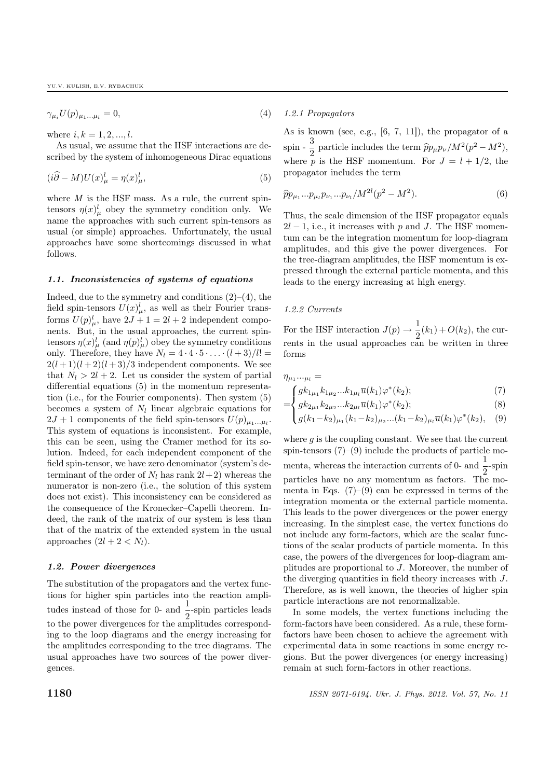$$
\gamma_{\mu_i} U(p)_{\mu_1...\mu_l} = 0,\tag{4}
$$

where  $i, k = 1, 2, ..., l$ .

As usual, we assume that the HSF interactions are described by the system of inhomogeneous Dirac equations

$$
(i\widehat{\partial} - M)U(x)_{\mu}^{l} = \eta(x)_{\mu}^{l},\tag{5}
$$

where  $M$  is the HSF mass. As a rule, the current spintensors  $\eta(x)_{\mu}^{l}$  obey the symmetry condition only. We name the approaches with such current spin-tensors as usual (or simple) approaches. Unfortunately, the usual approaches have some shortcomings discussed in what follows.

# 1.1. Inconsistencies of systems of equations

Indeed, due to the symmetry and conditions  $(2)$ – $(4)$ , the field spin-tensors  $U(x)_{\mu}^{l}$ , as well as their Fourier transforms  $U(p)_{\mu}^l$ , have  $2J + 1 = 2l + 2$  independent components. But, in the usual approaches, the current spintensors  $\eta(x)_{\mu}^{l}$  (and  $\eta(p)_{\mu}^{l}$ ) obey the symmetry conditions only. Therefore, they have  $N_l = 4 \cdot 4 \cdot 5 \cdot \ldots \cdot (l+3)/l! =$  $2(l+1)(l+2)(l+3)/3$  independent components. We see that  $N_l > 2l + 2$ . Let us consider the system of partial differential equations (5) in the momentum representation (i.e., for the Fourier components). Then system (5) becomes a system of  $N_l$  linear algebraic equations for  $2J + 1$  components of the field spin-tensors  $U(p)_{\mu_1...\mu_l}$ . This system of equations is inconsistent. For example, this can be seen, using the Cramer method for its solution. Indeed, for each independent component of the field spin-tensor, we have zero denominator (system's determinant of the order of  $N_l$  has rank  $2l+2$ ) whereas the numerator is non-zero (i.e., the solution of this system does not exist). This inconsistency can be considered as the consequence of the Kronecker–Capelli theorem. Indeed, the rank of the matrix of our system is less than that of the matrix of the extended system in the usual approaches  $(2l + 2 < N_l)$ .

#### 1.2. Power divergences

The substitution of the propagators and the vertex functions for higher spin particles into the reaction amplitudes instead of those for 0- and  $\frac{1}{2}$ -spin particles leads to the power divergences for the amplitudes corresponding to the loop diagrams and the energy increasing for the amplitudes corresponding to the tree diagrams. The usual approaches have two sources of the power divergences.

# 1.2.1 Propagators

As is known (see, e.g., [6, 7, 11]), the propagator of a spin -  $\frac{3}{5}$ particle includes the term  $\hat{p}\hat{p}_{\mu}\hat{p}_{\nu}/M^2(p^2-M^2)$ , where  $p \nightharpoonup p$  is the HSF momentum. For  $J = l + 1/2$ , the propagator includes the term

$$
\hat{p}p_{\mu_1}...p_{\mu_l}p_{\nu_1}...p_{\nu_l}/M^{2l}(p^2-M^2).
$$
\n(6)

Thus, the scale dimension of the HSF propagator equals  $2l-1$ , i.e., it increases with p and J. The HSF momentum can be the integration momentum for loop-diagram amplitudes, and this give the power divergences. For the tree-diagram amplitudes, the HSF momentum is expressed through the external particle momenta, and this leads to the energy increasing at high energy.

# 1.2.2 Currents

For the HSF interaction  $J(p) \rightarrow \frac{1}{2}$  $\frac{1}{2}(k_1) + O(k_2)$ , the currents in the usual approaches can be written in three forms

 $\eta_{\mu_1\cdots\mu_l} =$ 

$$
\int g k_{1\mu_1} k_{1\mu_2}...k_{1\mu_l} \overline{u}(k_1) \varphi^*(k_2); \tag{7}
$$

$$
= \begin{cases} \frac{\partial^2}{\partial k_{2\mu_1} k_{2\mu_2} \dots k_{2\mu_l} \overline{u}(k_1) \varphi^*(k_2)}; \\ g k_{2\mu_1} k_{2\mu_2} \dots k_{2\mu_l} \overline{u}(k_1) \varphi^*(k_2); \end{cases} \tag{8}
$$

$$
\left(g(k_1-k_2)_{\mu_1}(k_1-k_2)_{\mu_2}...(k_1-k_2)_{\mu_l}\overline{u}(k_1)\varphi^*(k_2),\right)
$$
 (9)

where  $q$  is the coupling constant. We see that the current spin-tensors  $(7)-(9)$  include the products of particle momenta, whereas the interaction currents of 0- and  $\frac{1}{2}$ -spin particles have no any momentum as factors. The momenta in Eqs.  $(7)-(9)$  can be expressed in terms of the integration momenta or the external particle momenta. This leads to the power divergences or the power energy increasing. In the simplest case, the vertex functions do not include any form-factors, which are the scalar functions of the scalar products of particle momenta. In this case, the powers of the divergences for loop-diagram amplitudes are proportional to J. Moreover, the number of the diverging quantities in field theory increases with J. Therefore, as is well known, the theories of higher spin particle interactions are not renormalizable.

In some models, the vertex functions including the form-factors have been considered. As a rule, these formfactors have been chosen to achieve the agreement with experimental data in some reactions in some energy regions. But the power divergences (or energy increasing) remain at such form-factors in other reactions.

**1180** ISSN 2071-0194. Ukr. J. Phys. 2012. Vol. 57, No. 11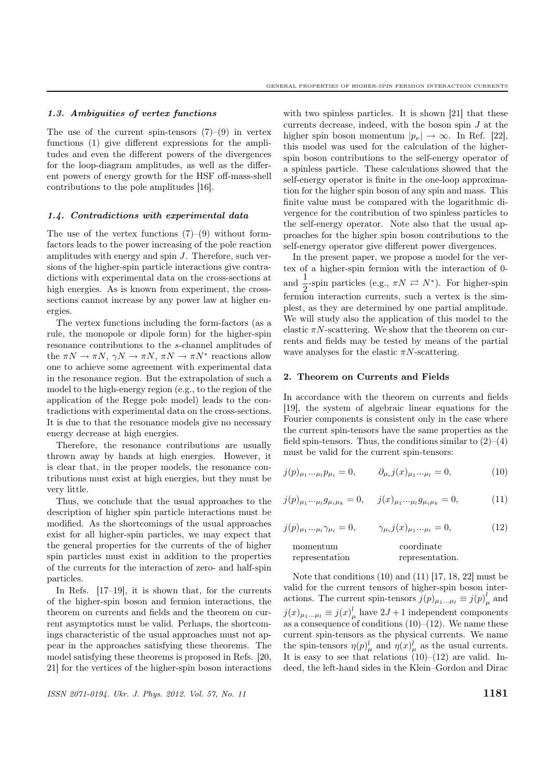# 1.3. Ambiguities of vertex functions

The use of the current spin-tensors  $(7)-(9)$  in vertex functions (1) give different expressions for the amplitudes and even the different powers of the divergences for the loop-diagram amplitudes, as well as the different powers of energy growth for the HSF off-mass-shell contributions to the pole amplitudes [16].

### 1.4. Contradictions with experimental data

The use of the vertex functions  $(7)-(9)$  without formfactors leads to the power increasing of the pole reaction amplitudes with energy and spin  $J$ . Therefore, such versions of the higher-spin particle interactions give contradictions with experimental data on the cross-sections at high energies. As is known from experiment, the crosssections cannot increase by any power law at higher energies.

The vertex functions including the form-factors (as a rule, the monopole or dipole form) for the higher-spin resonance contributions to the s-channel amplitudes of the  $\pi N \to \pi N$ ,  $\gamma N \to \pi N$ ,  $\pi N \to \pi N^*$  reactions allow one to achieve some agreement with experimental data in the resonance region. But the extrapolation of such a model to the high-energy region (e.g., to the region of the application of the Regge pole model) leads to the contradictions with experimental data on the cross-sections. It is due to that the resonance models give no necessary energy decrease at high energies.

Therefore, the resonance contributions are usually thrown away by hands at high energies. However, it is clear that, in the proper models, the resonance contributions must exist at high energies, but they must be very little.

Thus, we conclude that the usual approaches to the description of higher spin particle interactions must be modified. As the shortcomings of the usual approaches exist for all higher-spin particles, we may expect that the general properties for the currents of the of higher spin particles must exist in addition to the properties of the currents for the interaction of zero- and half-spin particles.

In Refs. [17–19], it is shown that, for the currents of the higher-spin boson and fermion interactions, the theorem on currents and fields and the theorem on current asymptotics must be valid. Perhaps, the shortcomings characteristic of the usual approaches must not appear in the approaches satisfying these theorems. The model satisfying these theorems is proposed in Refs. [20, 21] for the vertices of the higher-spin boson interactions

 $\frac{1}{18}$  ISSN 2071-0194. Ukr. J. Phys. 2012. Vol. 57, No. 11  $\frac{1}{8}$ 

with two spinless particles. It is shown [21] that these currents decrease, indeed, with the boson spin J at the higher spin boson momentum  $|p_{\nu}| \to \infty$ . In Ref. [22], this model was used for the calculation of the higherspin boson contributions to the self-energy operator of a spinless particle. These calculations showed that the self-energy operator is finite in the one-loop approximation for the higher spin boson of any spin and mass. This finite value must be compared with the logarithmic divergence for the contribution of two spinless particles to the self-energy operator. Note also that the usual approaches for the higher spin boson contributions to the self-energy operator give different power divergences.

In the present paper, we propose a model for the vertex of a higher-spin fermion with the interaction of 0 and  $\frac{1}{2}$ -spin particles (e.g.,  $\pi N \rightleftharpoons N^*$ ). For higher-spin fermion interaction currents, such a vertex is the simplest, as they are determined by one partial amplitude. We will study also the application of this model to the elastic  $\pi N$ -scattering. We show that the theorem on currents and fields may be tested by means of the partial wave analyses for the elastic  $\pi N$ -scattering.

#### 2. Theorem on Currents and Fields

In accordance with the theorem on currents and fields [19], the system of algebraic linear equations for the Fourier components is consistent only in the case where the current spin-tensors have the same properties as the field spin-tensors. Thus, the conditions similar to  $(2)$ – $(4)$ must be valid for the current spin-tensors:

$$
j(p)_{\mu_1 \cdots \mu_l} p_{\mu_i} = 0, \qquad \partial_{\mu_i} j(x)_{\mu_1 \cdots \mu_l} = 0,
$$
 (10)

$$
j(p)_{\mu_1 \cdots \mu_l} g_{\mu_i \mu_k} = 0, \quad j(x)_{\mu_1 \cdots \mu_l} g_{\mu_i \mu_k} = 0,
$$
 (11)

 $j(p)_{\mu_1 \cdots \mu_l} \gamma_{\mu_i} = 0, \qquad \gamma_{\mu_i} j(x)_{\mu_1 \cdots \mu_l} = 0,$  (12)

| momentum       | coordinate      |
|----------------|-----------------|
| representation | representation. |

Note that conditions (10) and (11) [17, 18, 22] must be valid for the current tensors of higher-spin boson interactions. The current spin-tensors  $j(p)_{\mu_1...\mu_l} \equiv j(p)_{\mu}^l$  and  $j(x)_{\mu_1...\mu_l} \equiv j(x)_{\mu}^l$  have  $2J+1$  independent components as a consequence of conditions  $(10)$ – $(12)$ . We name these current spin-tensors as the physical currents. We name the spin-tensors  $\eta(p)_{\mu}^{l}$  and  $\eta(x)_{\mu}^{l}$  as the usual currents. It is easy to see that relations  $(10)$ – $(12)$  are valid. Indeed, the left-hand sides in the Klein–Gordon and Dirac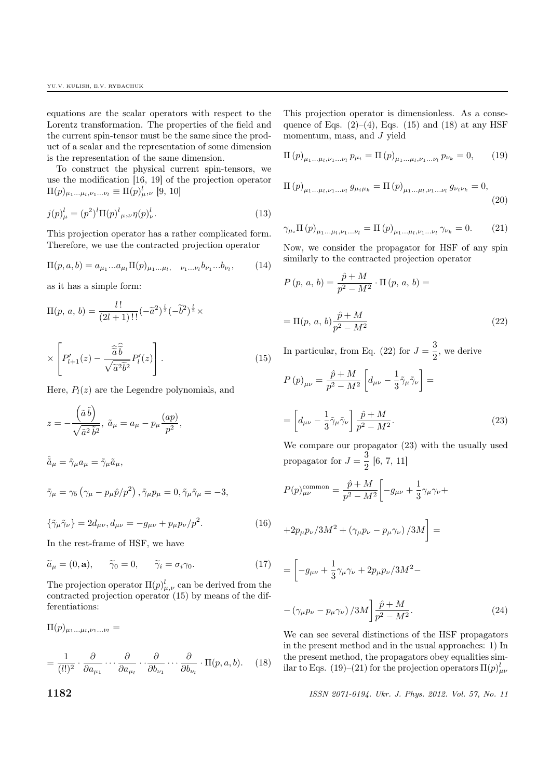equations are the scalar operators with respect to the Lorentz transformation. The properties of the field and the current spin-tensor must be the same since the product of a scalar and the representation of some dimension is the representation of the same dimension.

To construct the physical current spin-tensors, we use the modification [16, 19] of the projection operator  $\Pi(p)_{\mu_1...\mu_l,\nu_1...\nu_l} \equiv \Pi(p)_{\mu,\nu}^l$  [9, 10]

$$
j(p)_{\mu}^{l} = (p^{2})^{l} \Pi(p)_{\mu,\nu}^{l} \eta(p)_{\nu}^{l}.
$$
\n(13)

This projection operator has a rather complicated form. Therefore, we use the contracted projection operator

$$
\Pi(p, a, b) = a_{\mu_1} ... a_{\mu_l} \Pi(p)_{\mu_1 ... \mu_l}, \quad \nu_1 ... \nu_l b_{\nu_1} ... b_{\nu_l}, \tag{14}
$$

as it has a simple form:

$$
\Pi(p, a, b) = \frac{l!}{(2l+1)!!}(-\tilde{a}^2)^{\frac{1}{2}}(-\tilde{b}^2)^{\frac{1}{2}} \times
$$

$$
\times \left[P'_{l+1}(z) - \frac{\hat{\tilde{a}}\hat{\tilde{b}}}{\sqrt{\tilde{a}^2\tilde{b}^2}}P'_{l}(z)\right].
$$
(15)

Here,  $P_l(z)$  are the Legendre polynomials, and

$$
z = -\frac{\left(\tilde{a}\,\tilde{b}\right)}{\sqrt{\tilde{a}^2\,\tilde{b}^2}}, \ \tilde{a}_{\mu} = a_{\mu} - p_{\mu}\frac{(ap)}{p^2},
$$
  

$$
\hat{\tilde{a}}_{\mu} = \tilde{\gamma}_{\mu}a_{\mu} = \tilde{\gamma}_{\mu}\tilde{a}_{\mu},
$$
  

$$
\tilde{\gamma}_{\mu} = \gamma_5\left(\gamma_{\mu} - p_{\mu}\hat{p}/p^2\right), \tilde{\gamma}_{\mu}p_{\mu} = 0, \tilde{\gamma}_{\mu}\tilde{\gamma}_{\mu} = -3,
$$
  

$$
\{\tilde{\gamma}_{\mu}\tilde{\gamma}_{\nu}\} = 2d_{\mu\nu}, d_{\mu\nu} = -g_{\mu\nu} + p_{\mu}p_{\nu}/p^2.
$$
 (16)

In the rest-frame of HSF, we have

$$
\widetilde{a}_{\mu} = (0, \mathbf{a}), \quad \widetilde{\gamma}_0 = 0, \quad \widetilde{\gamma}_i = \sigma_i \gamma_0.
$$
\n(17)

The projection operator  $\Pi(p)_{\mu,\nu}^l$  can be derived from the contracted projection operator (15) by means of the differentiations:

$$
= \frac{1}{(l!)^2} \cdot \frac{\partial}{\partial a_{\mu_1}} \cdots \frac{\partial}{\partial a_{\mu_l}} \cdots \frac{\partial}{\partial b_{\nu_1}} \cdots \frac{\partial}{\partial b_{\nu_l}} \cdot \Pi(p, a, b). \quad (18)
$$

This projection operator is dimensionless. As a consequence of Eqs.  $(2)$ – $(4)$ , Eqs.  $(15)$  and  $(18)$  at any HSF momentum, mass, and J yield

$$
\Pi(p)_{\mu_1...\mu_l,\nu_1...\nu_l} p_{\mu_i} = \Pi(p)_{\mu_1...\mu_l,\nu_1...\nu_l} p_{\nu_k} = 0, \qquad (19)
$$

$$
\Pi(p)_{\mu_1...\mu_l,\nu_1...\nu_l} g_{\mu_i\mu_k} = \Pi(p)_{\mu_1...\mu_l,\nu_1...\nu_l} g_{\nu_i\nu_k} = 0,
$$
\n(20)

$$
\gamma_{\mu_i} \Pi(p)_{\mu_1...\mu_l, \nu_1...\nu_l} = \Pi(p)_{\mu_1...\mu_l, \nu_1...\nu_l} \gamma_{\nu_k} = 0.
$$
 (21)

Now, we consider the propagator for HSF of any spin similarly to the contracted projection operator

$$
P(p, a, b) = \frac{\hat{p} + M}{p^2 - M^2} \cdot \Pi(p, a, b) =
$$
  
=  $\Pi(p, a, b) \frac{\hat{p} + M}{p^2 - M^2}$  (22)

In particular, from Eq. (22) for  $J=\frac{3}{2}$  $\frac{3}{2}$ , we derive

$$
P(p)_{\mu\nu} = \frac{\hat{p} + M}{p^2 - M^2} \left[ d_{\mu\nu} - \frac{1}{3} \tilde{\gamma}_{\mu} \tilde{\gamma}_{\nu} \right] =
$$
  

$$
= \left[ d_{\mu\nu} - \frac{1}{3} \tilde{\gamma}_{\mu} \tilde{\gamma}_{\nu} \right] \frac{\hat{p} + M}{p^2 - M^2}.
$$
 (23)

We compare our propagator (23) with the usually used propagator for  $J=\frac{3}{2}$  $\frac{5}{2}$  [6, 7, 11]

$$
P(p)_{\mu\nu}^{\text{common}} = \frac{\hat{p} + M}{p^2 - M^2} \left[ -g_{\mu\nu} + \frac{1}{3} \gamma_{\mu} \gamma_{\nu} ++ 2p_{\mu} p_{\nu} / 3M^2 + (\gamma_{\mu} p_{\nu} - p_{\mu} \gamma_{\nu}) / 3M \right] == \left[ -g_{\mu\nu} + \frac{1}{3} \gamma_{\mu} \gamma_{\nu} + 2p_{\mu} p_{\nu} / 3M^2 --(\gamma_{\mu} p_{\nu} - p_{\mu} \gamma_{\nu}) / 3M \right] \frac{\hat{p} + M}{p^2 - M^2}. \tag{24}
$$

We can see several distinctions of the HSF propagators in the present method and in the usual approaches: 1) In the present method, the propagators obey equalities similar to Eqs. (19)–(21) for the projection operators  $\Pi(p)_{\mu\nu}^l$ 

1182 ISSN 2071-0194. Ukr. J. Phys. 2012. Vol. 57, No. 11

 $\Pi(p)_{\mu_1...\mu_l,\nu_1...\nu_l} =$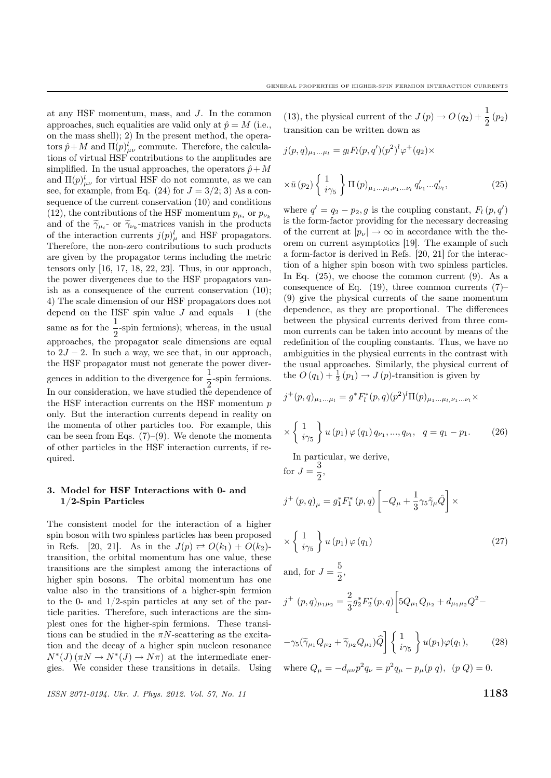at any HSF momentum, mass, and J. In the common approaches, such equalities are valid only at  $\hat{p} = M$  (i.e., on the mass shell); 2) In the present method, the operators  $\hat{p} + M$  and  $\Pi(p)_{\mu\nu}^l$  commute. Therefore, the calculations of virtual HSF contributions to the amplitudes are simplified. In the usual approaches, the operators  $\hat{p}+M$ and  $\Pi(p)_{\mu\nu}^l$  for virtual HSF do not commute, as we can see, for example, from Eq.  $(24)$  for  $J = 3/2$ ; 3) As a consequence of the current conservation (10) and conditions (12), the contributions of the HSF momentum  $p_{\mu_i}$  or  $p_{\nu_k}$ and of the  $\tilde{\gamma}_{\mu_i}$ - or  $\tilde{\gamma}_{\nu_k}$ -matrices vanish in the products<br>of the interaction currents  $i(n)^l$  and HSF proposators of the interaction currents  $j(p)_{\mu}^{l}$  and HSF propagators. Therefore, the non-zero contributions to such products are given by the propagator terms including the metric tensors only [16, 17, 18, 22, 23]. Thus, in our approach, the power divergences due to the HSF propagators vanish as a consequence of the current conservation (10); 4) The scale dimension of our HSF propagators does not depend on the HSF spin value  $J$  and equals  $-1$  (the same as for the  $\frac{1}{2}$ -spin fermions); whereas, in the usual approaches, the propagator scale dimensions are equal to  $2J - 2$ . In such a way, we see that, in our approach, the HSF propagator must not generate the power divergences in addition to the divergence for  $\frac{1}{2}$ -spin fermions. In our consideration, we have studied the dependence of the HSF interaction currents on the HSF momentum  $p$ only. But the interaction currents depend in reality on the momenta of other particles too. For example, this can be seen from Eqs.  $(7)-(9)$ . We denote the momenta of other particles in the HSF interaction currents, if required.

# 3. Model for HSF Interactions with 0- and 1/2-Spin Particles

The consistent model for the interaction of a higher spin boson with two spinless particles has been proposed in Refs. [20, 21]. As in the  $J(p) \rightleftarrows O(k_1) + O(k_2)$ transition, the orbital momentum has one value, these transitions are the simplest among the interactions of higher spin bosons. The orbital momentum has one value also in the transitions of a higher-spin fermion to the 0- and 1/2-spin particles at any set of the particle parities. Therefore, such interactions are the simplest ones for the higher-spin fermions. These transitions can be studied in the  $\pi N$ -scattering as the excitation and the decay of a higher spin nucleon resonance  $N^*(J)(\pi N \to N^*(J) \to N\pi)$  at the intermediate energies. We consider these transitions in details. Using

 $\frac{155N}{2071-0194}$ . Ukr. J. Phys. 2012. Vol. 57, No. 11  $1183$ 

(13), the physical current of the  $J(p) \rightarrow O(q_2) + \frac{1}{2}(p_2)$ transition can be written down as

$$
j(p,q)_{\mu_1...\mu_l} = g_l F_l(p,q')(p^2)^l \varphi^+(q_2) \times
$$
  

$$
\times \bar{u}(p_2) \left\{ \frac{1}{i\gamma_5} \right\} \Pi(p)_{\mu_1...\mu_l,\nu_1...\nu_l} q'_{\nu_1}...q'_{\nu_l},
$$
 (25)

where  $q' = q_2 - p_2, g$  is the coupling constant,  $F_l(p, q')$ is the form-factor providing for the necessary decreasing of the current at  $|p_\nu| \to \infty$  in accordance with the theorem on current asymptotics [19]. The example of such a form-factor is derived in Refs. [20, 21] for the interaction of a higher spin boson with two spinless particles. In Eq.  $(25)$ , we choose the common current  $(9)$ . As a consequence of Eq.  $(19)$ , three common currents  $(7)$ – (9) give the physical currents of the same momentum dependence, as they are proportional. The differences between the physical currents derived from three common currents can be taken into account by means of the redefinition of the coupling constants. Thus, we have no ambiguities in the physical currents in the contrast with the usual approaches. Similarly, the physical current of the  $O(q_1) + \frac{1}{2}(p_1) \rightarrow J(p)$ -transition is given by

$$
j^{+}(p,q)_{\mu_{1}...\mu_{l}} = g^{*}F_{l}^{*}(p,q)(p^{2})^{l}\Pi(p)_{\mu_{1}...\mu_{l},\nu_{1}...\nu_{l}} \times \times \begin{cases} 1 \\ i\gamma_{5} \end{cases} u(p_{1}) \varphi(q_{1}) q_{\nu_{1}}, ..., q_{\nu_{l}}, q = q_{1} - p_{1}. \qquad (26)
$$
  
In particular, we derive,  
for  $J = \frac{3}{2}$ ,

for 
$$
J = \frac{3}{2}
$$
,  
\n
$$
j^+(p,q)_{\mu} = g_1^* F_1^*(p,q) \left[ -Q_{\mu} + \frac{1}{3} \gamma_5 \tilde{\gamma}_{\mu} \hat{Q} \right] \times \times \left\{ \frac{1}{i \gamma_5} \right\} u(p_1) \varphi(q_1)
$$
\n(27)

and, for 
$$
J = \frac{5}{2}
$$
,

$$
j^{+}(p,q)_{\mu_1\mu_2} = \frac{2}{3}g_2^*F_2^*(p,q)\bigg[5Q_{\mu_1}Q_{\mu_2} + d_{\mu_1\mu_2}Q^2 -
$$

$$
-\gamma_5(\widetilde{\gamma}_{\mu_1}Q_{\mu_2} + \widetilde{\gamma}_{\mu_2}Q_{\mu_1})\widehat{Q}\bigg\{\frac{1}{i\gamma_5}\bigg\}u(p_1)\varphi(q_1),\qquad(28)
$$

where 
$$
Q_{\mu} = -d_{\mu\nu}p^2 q_{\nu} = p^2 q_{\mu} - p_{\mu}(p \, q), \, (p \, Q) = 0.
$$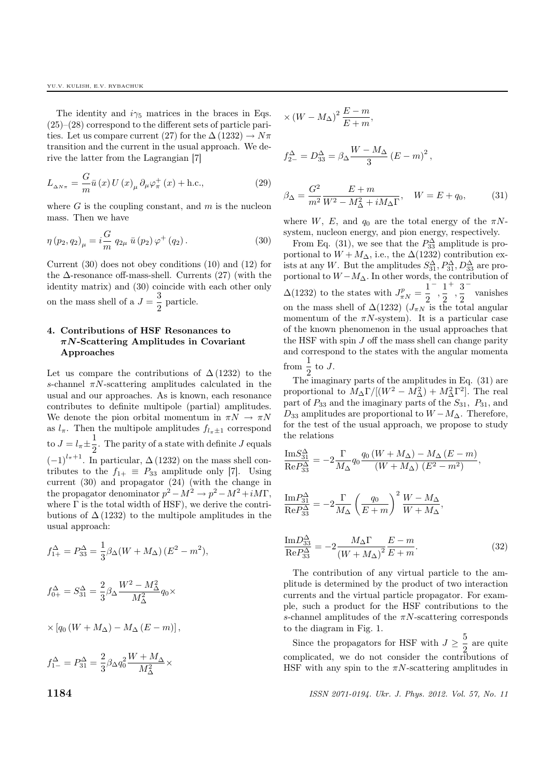The identity and  $i\gamma_5$  matrices in the braces in Eqs.  $(25)$ – $(28)$  correspond to the different sets of particle parities. Let us compare current (27) for the  $\Delta (1232) \rightarrow N\pi$ transition and the current in the usual approach. We derive the latter from the Lagrangian [7]

$$
L_{\Delta N\pi} = \frac{G}{m}\bar{u}(x)U(x)_{\mu}\partial_{\mu}\varphi_{\pi}^{+}(x) + \text{h.c.},\tag{29}
$$

where  $G$  is the coupling constant, and  $m$  is the nucleon mass. Then we have

$$
\eta (p_2, q_2)_{\mu} = i \frac{G}{m} q_{2\mu} \bar{u} (p_2) \varphi^+ (q_2).
$$
 (30)

Current (30) does not obey conditions (10) and (12) for the  $\Delta$ -resonance off-mass-shell. Currents (27) (with the identity matrix) and (30) coincide with each other only on the mass shell of a  $J=\frac{3}{2}$  $\frac{1}{2}$  particle.

# 4. Contributions of HSF Resonances to  $\pi N$ -Scattering Amplitudes in Covariant Approaches

Let us compare the contributions of  $\Delta(1232)$  to the s-channel  $\pi N$ -scattering amplitudes calculated in the usual and our approaches. As is known, each resonance contributes to definite multipole (partial) amplitudes. We denote the pion orbital momentum in  $\pi N \to \pi N$ as  $l_{\pi}$ . Then the multipole amplitudes  $f_{l_{\pi}\pm 1}$  correspond to  $J=l_{\pi}\pm\frac{1}{2}$  $\frac{1}{2}$ . The parity of a state with definite J equals  $(-1)^{l_{\pi}+1}$ . In particular,  $\Delta(1232)$  on the mass shell contributes to the  $f_{1+} \equiv P_{33}$  amplitude only [7]. Using current (30) and propagator (24) (with the change in the propagator denominator  $p^2 - M^2 \rightarrow p^2 - M^2 + iM\Gamma$ , where  $\Gamma$  is the total width of HSF), we derive the contributions of  $\Delta(1232)$  to the multipole amplitudes in the usual approach:

$$
f_{1+}^{\Delta} = P_{33}^{\Delta} = \frac{1}{3} \beta_{\Delta} (W + M_{\Delta}) (E^2 - m^2),
$$

$$
f^{\Delta}_{0+}=S^{\Delta}_{31}=\frac{2}{3}\beta_{\Delta}\frac{W^2-M^2_{\Delta}}{M^2_{\Delta}}q_0\times
$$

$$
\times \left[ q_0 \left( W + M_\Delta \right) - M_\Delta \left( E - m \right) \right],
$$

$$
f_{1-}^{\Delta} = P_{31}^{\Delta} = \frac{2}{3} \beta_{\Delta} q_0^2 \frac{W + M_{\Delta}}{M_{\Delta}^2} \times
$$

$$
\times (W - M_{\Delta})^2 \frac{E - m}{E + m},
$$
  
\n
$$
f_{2-}^{\Delta} = D_{33}^{\Delta} = \beta_{\Delta} \frac{W - M_{\Delta}}{3} (E - m)^2,
$$
  
\n
$$
\beta_{\Delta} = \frac{G^2}{m^2} \frac{E + m}{W^2 - M_{\Delta}^2 + iM_{\Delta} \Gamma}, \quad W = E + q_0,
$$
\n(31)

where W, E, and  $q_0$  are the total energy of the  $\pi N$ system, nucleon energy, and pion energy, respectively.

From Eq. (31), we see that the  $P_{33}^{\Delta}$  amplitude is proportional to  $W + M_{\Delta}$ , i.e., the  $\Delta(1232)$  contribution exists at any W. But the amplitudes  $S_{31}^{\Delta}, P_{31}^{\Delta}, D_{33}^{\Delta}$  are proportional to  $W - M_\Delta.$  In other words, the contribution of  $\Delta(1232)$  to the states with  $J_{\pi N}^p = \frac{1}{2}$ 2 −  $\frac{1}{2}$ 2 +  $\frac{3}{2}$ 2 − vanishes on the mass shell of  $\Delta(1232)$   $(J_{\pi N}$  is the total angular momentum of the  $\pi N$ -system). It is a particular case of the known phenomenon in the usual approaches that the HSF with spin  $J$  off the mass shell can change parity and correspond to the states with the angular momenta from  $\frac{1}{2}$  to J.

The imaginary parts of the amplitudes in Eq. (31) are proportional to  $M_{\Delta} \Gamma / [(W^2 - M_{\Delta}^2) + M_{\Delta}^2 \Gamma^2]$ . The real part of  $P_{33}$  and the imaginary parts of the  $S_{31}$ ,  $P_{31}$ , and  $D_{33}$  amplitudes are proportional to  $W - M_{\Delta}$ . Therefore, for the test of the usual approach, we propose to study the relations

$$
\frac{\text{Im}S_{31}^{\Delta}}{\text{Re}P_{33}^{\Delta}} = -2\frac{\Gamma}{M_{\Delta}}q_0 \frac{q_0 (W + M_{\Delta}) - M_{\Delta} (E - m)}{(W + M_{\Delta}) (E^2 - m^2)},
$$

$$
\frac{\text{Im}P_{31}^{\Delta}}{\text{Re}P_{33}^{\Delta}} = -2\frac{\Gamma}{M_{\Delta}} \left(\frac{q_0}{E+m}\right)^2 \frac{W-M_{\Delta}}{W+M_{\Delta}},
$$

$$
\frac{\text{Im}D_{33}^{\Delta}}{\text{Re}P_{33}^{\Delta}} = -2\frac{M_{\Delta}\Gamma}{\left(W + M_{\Delta}\right)^2}\frac{E - m}{E + m}.\tag{32}
$$

The contribution of any virtual particle to the amplitude is determined by the product of two interaction currents and the virtual particle propagator. For example, such a product for the HSF contributions to the s-channel amplitudes of the  $\pi N$ -scattering corresponds to the diagram in Fig. 1.

Since the propagators for HSF with  $J \geq \frac{5}{3}$  $\frac{5}{2}$  are quite complicated, we do not consider the contributions of HSF with any spin to the  $\pi N$ -scattering amplitudes in

1184 **ISSN 2071-0194. Ukr. J. Phys. 2012. Vol. 57, No. 11**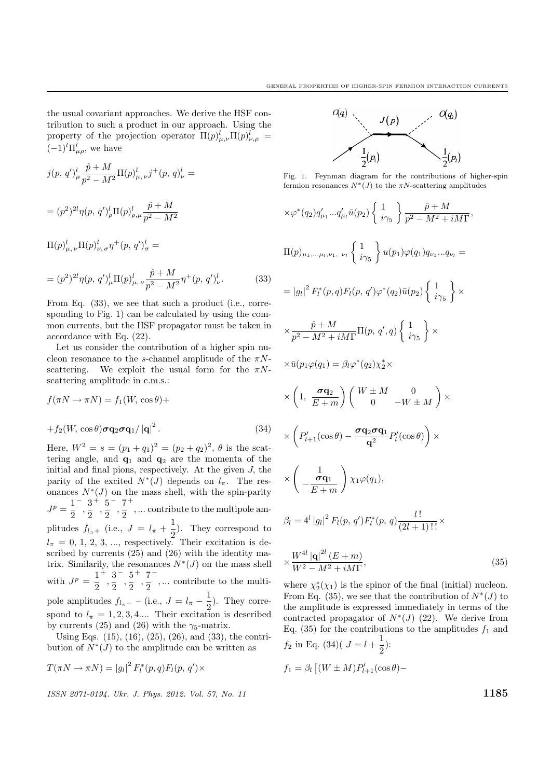the usual covariant approaches. We derive the HSF contribution to such a product in our approach. Using the property of the projection operator  $\Pi(p)_{\mu,\nu}^l \Pi(p)_{\nu,\rho}^l =$  $(-1)^l \Pi^l_{\mu\rho}$ , we have

$$
j(p, q')_{\mu}^{l} \frac{\hat{p} + M}{p^2 - M^2} \Pi(p)_{\mu, \nu}^{l} j^{+}(p, q)_{\nu}^{l} =
$$

$$
= (p^2)^{2l} \eta(p, q')_{\rho}^l \Pi(p)_{\rho, \mu}^l \frac{\hat{p} + M}{p^2 - M^2}
$$

$$
\Pi(p)_{\mu,\nu}^l\Pi(p)_{\nu,\sigma}^l\eta^+(p,\,q')_{\sigma}^l=
$$

$$
= (p^2)^{2l} \eta(p, q')_{\mu}^l \Pi(p)_{\mu, \nu}^l \frac{\hat{p} + M}{p^2 - M^2} \eta^+(p, q')_{\nu}^l. \tag{33}
$$

From Eq.  $(33)$ , we see that such a product (i.e., corresponding to Fig. 1) can be calculated by using the common currents, but the HSF propagator must be taken in accordance with Eq. (22).

Let us consider the contribution of a higher spin nucleon resonance to the s-channel amplitude of the  $\pi N$ scattering. We exploit the usual form for the  $\pi N$ scattering amplitude in c.m.s.:

$$
f(\pi N \to \pi N) = f_1(W, \cos \theta) ++ f_2(W, \cos \theta) \sigma \mathbf{q}_2 \sigma \mathbf{q}_1 / |\mathbf{q}|^2.
$$
 (34)

Here,  $W^2 = s = (p_1 + q_1)^2 = (p_2 + q_2)^2$ ,  $\theta$  is the scattering angle, and  $q_1$  and  $q_2$  are the momenta of the initial and final pions, respectively. At the given  $J$ , the parity of the excited  $N^*(J)$  depends on  $l_{\pi}$ . The resonances  $N^*(J)$  on the mass shell, with the spin-parity  $J^p = \frac{1}{2}$ 2 −  $\frac{3}{2}$ 2  $^{+}$  $\frac{5}{2}$ 2 −  $\frac{7}{2}$ 2 + , ... contribute to the multipole amplitudes  $f_{l_{\pi+}}$  (i.e.,  $J = l_{\pi} + \frac{1}{2}$  $(\frac{1}{2})$ . They correspond to  $l_{\pi} = 0, 1, 2, 3, ...,$  respectively. Their excitation is described by currents  $(25)$  and  $(26)$  with the identity matrix. Similarily, the resonances  $N^*(J)$  on the mass shell with  $J^p = \frac{1}{2}$ 2 +  $\frac{3}{2}$ 2 −  $\frac{5}{2}$ 2 +  $\frac{7}{2}$ 2 − , ... contribute to the multipole amplitudes  $f_{l_{\pi}-}$  – (i.e.,  $J = l_{\pi} - \frac{1}{2}$  $\frac{1}{2}$ ). They correspond to  $l_{\pi} = 1, 2, 3, 4...$  Their excitation is described by currents (25) and (26) with the  $\gamma_5$ -matrix.

Using Eqs.  $(15)$ ,  $(16)$ ,  $(25)$ ,  $(26)$ , and  $(33)$ , the contribution of  $N^*(J)$  to the amplitude can be written as

$$
T(\pi N \to \pi N) = |g_l|^2 F_l^*(p, q) F_l(p, q') \times
$$

 $\frac{1}{18}$  ISSN 2071-0194. Ukr. J. Phys. 2012. Vol. 57, No. 11  $\frac{1185}{1180}$ 



Fig. 1. Feynman diagram for the contributions of higher-spin fermion resonances  $N^*(J)$  to the  $\pi N$ -scattering amplitudes

$$
\times \varphi^*(q_2) q'_{\mu_1} \dots q'_{\mu_l} \bar{u}(p_2) \begin{Bmatrix} 1 \\ i\gamma_5 \end{Bmatrix} \frac{\hat{p} + M}{p^2 - M^2 + iM\Gamma},
$$
  
\n
$$
\Pi(p)_{\mu_1, \dots, \mu_l, \nu_1, \nu_l} \begin{Bmatrix} 1 \\ i\gamma_5 \end{Bmatrix} u(p_1) \varphi(q_1) q_{\nu_1} \dots q_{\nu_l} =
$$
  
\n
$$
= |g_l|^2 F_l^*(p, q) F_l(p, q') \varphi^*(q_2) \bar{u}(p_2) \begin{Bmatrix} 1 \\ i\gamma_5 \end{Bmatrix} \times
$$
  
\n
$$
\times \frac{\hat{p} + M}{p^2 - M^2 + iM\Gamma} \Pi(p, q', q) \begin{Bmatrix} 1 \\ i\gamma_5 \end{Bmatrix} \times
$$
  
\n
$$
\times \bar{u}(p_1 \varphi(q_1) = \beta_l \varphi^*(q_2) \chi_2^* \times
$$
  
\n
$$
\times \left( 1, \frac{\sigma q_2}{E + m} \right) \begin{pmatrix} W \pm M & 0 \\ 0 & -W \pm M \end{pmatrix} \times
$$
  
\n
$$
\times \left( P'_{l+1}(\cos \theta) - \frac{\sigma q_2 \sigma q_1}{q^2} P'_l(\cos \theta) \right) \times
$$
  
\n
$$
\times \left( -\frac{1}{E + m} \right) \chi_1 \varphi(q_1),
$$
  
\n
$$
\beta_l = 4^l |g_l|^2 F_l(p, q') F_l^*(p, q) \frac{l!}{(2l+1)!!} \times
$$
  
\n
$$
\times \frac{W^{4l} |q|^{2l} (E + m)}{W^2 - M^2 + iM\Gamma},
$$
  
\n(35)

where  $\chi_2^*(\chi_1)$  is the spinor of the final (initial) nucleon. From Eq. (35), we see that the contribution of  $N^*(J)$  to the amplitude is expressed immediately in terms of the contracted propagator of  $N^*(J)$  (22). We derive from Eq. (35) for the contributions to the amplitudes  $f_1$  and  $f_2$  in Eq. (34)(  $J = l + \frac{1}{2}$  $\frac{1}{2}$ ):

$$
f_1 = \beta_l \left[ (W \pm M) P'_{l+1}(\cos \theta) - \right]
$$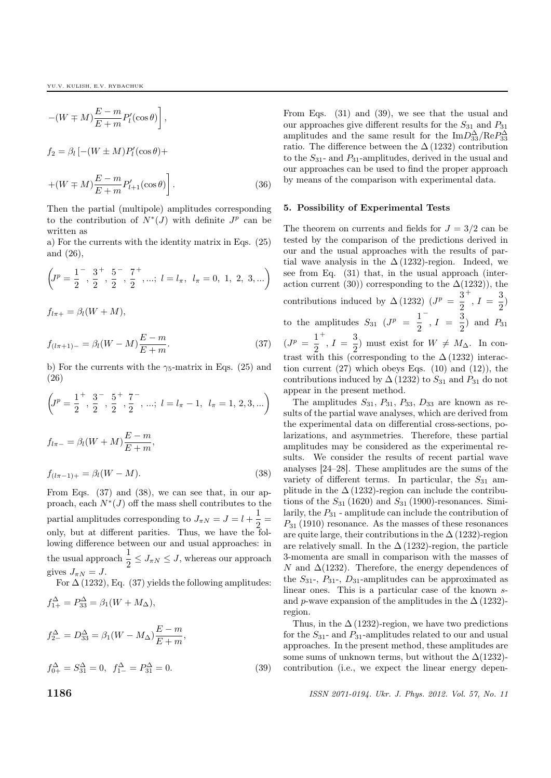$$
-(W \mp M) \frac{E - m}{E + m} P'_l(\cos \theta) \Big],
$$
  
\n
$$
f_2 = \beta_l \left[ -(W \pm M) P'_l(\cos \theta) +
$$
  
\n
$$
+(W \mp M) \frac{E - m}{E + m} P'_{l+1}(\cos \theta) \right].
$$
\n(36)

Then the partial (multipole) amplitudes corresponding to the contribution of  $N^*(J)$  with definite  $J^p$  can be written as

a) For the currents with the identity matrix in Eqs. (25) and (26),

$$
\left(J^{p} = \frac{1}{2}^{-}, \frac{3}{2}^{+}, \frac{5}{2}^{-}, \frac{7}{2}^{+}, \dots; l = l_{\pi}, l_{\pi} = 0, 1, 2, 3, \dots\right)
$$

 $f_{l\pi+} = \beta_l(W+M),$ 

$$
f_{(l\pi+1)-} = \beta_l (W - M) \frac{E - m}{E + m}.
$$
\n(37)

b) For the currents with the  $\gamma_5$ -matrix in Eqs. (25) and (26)

$$
\left(J^{p} = \frac{1}{2}^{+}, \frac{3}{2}^{-}, \frac{5}{2}^{+}, \frac{7}{2}^{-}, \dots; l = l_{\pi} - 1, l_{\pi} = 1, 2, 3, \dots\right)
$$
  

$$
f_{l\pi-} = \beta_{l}(W + M) \frac{E - m}{E + m},
$$

$$
f_{(l\pi - 1) +} = \beta_l (W - M). \tag{38}
$$

From Eqs. (37) and (38), we can see that, in our approach, each  $N^*(J)$  off the mass shell contributes to the partial amplitudes corresponding to  $J_{\pi N} = J = l + \frac{1}{2}$  $\frac{1}{2}$  = only, but at different parities. Thus, we have the following difference between our and usual approaches: in the usual approach  $\frac{1}{2} \leq J_{\pi N} \leq J$ , whereas our approach gives  $J_{\pi N} = J$ .

For  $\Delta$  (1232), Eq. (37) yields the following amplitudes:

$$
f_{2-}^{\Delta} = D_{33}^{\Delta} = \beta_1 (W - M_{\Delta}) \frac{E - m}{E + m},
$$
  

$$
f_{0+}^{\Delta} = S_{31}^{\Delta} = 0, \quad f_{1-}^{\Delta} = P_{31}^{\Delta} = 0.
$$
 (39)

From Eqs. (31) and (39), we see that the usual and our approaches give different results for the  $S_{31}$  and  $P_{31}$ amplitudes and the same result for the  $\text{Im}D_{33}^{\Delta}/\text{Re}P_{33}^{\Delta}$ ratio. The difference between the  $\Delta(1232)$  contribution to the  $S_{31}$ - and  $P_{31}$ -amplitudes, derived in the usual and our approaches can be used to find the proper approach by means of the comparison with experimental data.

# 5. Possibility of Experimental Tests

The theorem on currents and fields for  $J = 3/2$  can be tested by the comparison of the predictions derived in our and the usual approaches with the results of partial wave analysis in the  $\Delta(1232)$ -region. Indeed, we see from Eq. (31) that, in the usual approach (interaction current (30)) corresponding to the  $\Delta(1232)$ , the contributions induced by  $\Delta(1232)$   $(J^p = \frac{3}{5})$ 2 +  $, I = \frac{3}{5}$  $\frac{5}{2}$ to the amplitudes  $S_{31}$   $(J^p = \frac{1}{2})$ 2 −  $, I = \frac{3}{2}$  $\frac{1}{2}$  and  $P_{31}$  $(J^{p} = \frac{1}{2})$ 2 +  $, I = \frac{3}{2}$  $\frac{3}{2}$ ) must exist for  $W \neq M_{\Delta}$ . In contrast with this (corresponding to the  $\Delta(1232)$  interaction current  $(27)$  which obeys Eqs.  $(10)$  and  $(12)$ ), the contributions induced by  $\Delta(1232)$  to  $S_{31}$  and  $P_{31}$  do not appear in the present method.

The amplitudes  $S_{31}$ ,  $P_{31}$ ,  $P_{33}$ ,  $D_{33}$  are known as results of the partial wave analyses, which are derived from the experimental data on differential cross-sections, polarizations, and asymmetries. Therefore, these partial amplitudes may be considered as the experimental results. We consider the results of recent partial wave analyses [24–28]. These amplitudes are the sums of the variety of different terms. In particular, the  $S_{31}$  amplitude in the  $\Delta(1232)$ -region can include the contributions of the  $S_{31}$  (1620) and  $S_{31}$  (1900)-resonances. Similarily, the  $P_{31}$  - amplitude can include the contribution of  $P_{31}$  (1910) resonance. As the masses of these resonances are quite large, their contributions in the  $\Delta$  (1232)-region are relatively small. In the  $\Delta(1232)$ -region, the particle 3-momenta are small in comparison with the masses of N and  $\Delta(1232)$ . Therefore, the energy dependences of the  $S_{31}$ -,  $P_{31}$ -,  $D_{31}$ -amplitudes can be approximated as linear ones. This is a particular case of the known sand p-wave expansion of the amplitudes in the  $\Delta$  (1232)region.

Thus, in the  $\Delta(1232)$ -region, we have two predictions for the  $S_{31}$ - and  $P_{31}$ -amplitudes related to our and usual approaches. In the present method, these amplitudes are some sums of unknown terms, but without the  $\Delta(1232)$ contribution (i.e., we expect the linear energy depen-

**1186** ISSN 2071-0194. Ukr. J. Phys. 2012. Vol. 57, No. 11

 $f_{1+}^{\Delta} = P_{33}^{\Delta} = \beta_1 (W + M_{\Delta}),$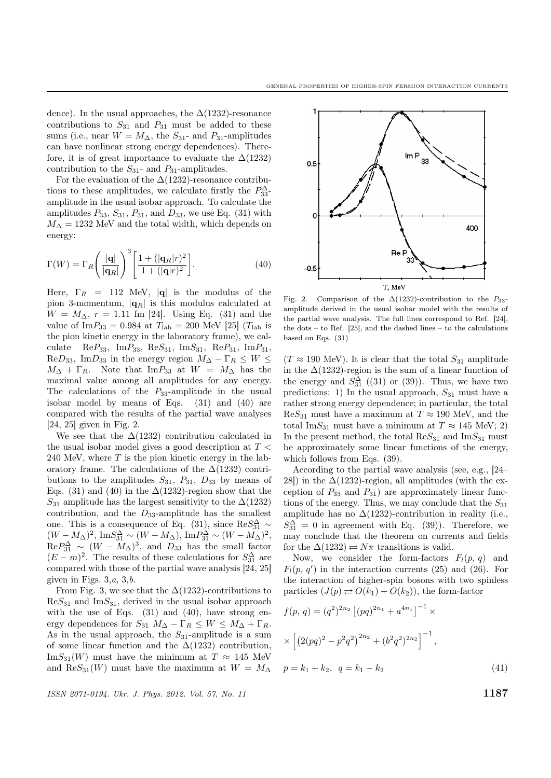dence). In the usual approaches, the  $\Delta(1232)$ -resonance contributions to  $S_{31}$  and  $P_{31}$  must be added to these sums (i.e., near  $W = M_{\Delta}$ , the  $S_{31}$ - and  $P_{31}$ -amplitudes can have nonlinear strong energy dependences). Therefore, it is of great importance to evaluate the  $\Delta(1232)$ contribution to the  $S_{31}$ - and  $P_{31}$ -amplitudes.

For the evaluation of the  $\Delta(1232)$ -resonance contributions to these amplitudes, we calculate firstly the  $P_{33}^{\Delta}$ amplitude in the usual isobar approach. To calculate the amplitudes  $P_{33}$ ,  $S_{31}$ ,  $P_{31}$ , and  $D_{33}$ , we use Eq. (31) with  $M_{\Delta} = 1232$  MeV and the total width, which depends on energy:

$$
\Gamma(W) = \Gamma_R \left(\frac{|\mathbf{q}|}{|\mathbf{q}_R|}\right)^3 \left[\frac{1 + (|\mathbf{q}_R|r)^2}{1 + (|\mathbf{q}|r)^2}\right].\tag{40}
$$

Here,  $\Gamma_R = 112$  MeV, |q| is the modulus of the pion 3-momentum,  $|\mathbf{q}_R|$  is this modulus calculated at  $W = M_{\Delta}$ ,  $r = 1.11$  fm [24]. Using Eq. (31) and the value of Im $P_{33} = 0.984$  at  $T_{\text{lab}} = 200$  MeV [25] ( $T_{\text{lab}}$  is the pion kinetic energy in the laboratory frame), we calculate Re $P_{33}$ , Im $P_{33}$ , Re $S_{31}$ , Im $S_{31}$ , Re $P_{31}$ , Im $P_{31}$ ,  $\text{Re}D_{33}$ , Im $D_{33}$  in the energy region  $M_{\Delta} - \Gamma_R \leq W \leq$  $M_{\Delta} + \Gamma_R$ . Note that Im $P_{33}$  at  $W = M_{\Delta}$  has the maximal value among all amplitudes for any energy. The calculations of the  $P_{33}$ -amplitude in the usual isobar model by means of Eqs. (31) and (40) are compared with the results of the partial wave analyses [24, 25] given in Fig. 2.

We see that the  $\Delta(1232)$  contribution calculated in the usual isobar model gives a good description at  $T <$ 240 MeV, where  $T$  is the pion kinetic energy in the laboratory frame. The calculations of the  $\Delta(1232)$  contributions to the amplitudes  $S_{31}$ ,  $P_{31}$ ,  $D_{33}$  by means of Eqs. (31) and (40) in the  $\Delta(1232)$ -region show that the  $S_{31}$  amplitude has the largest sensitivity to the  $\Delta(1232)$ contribution, and the  $D_{33}$ -amplitude has the smallest one. This is a consequence of Eq. (31), since  $\text{Re}S_{31}^{\Delta} \sim$  $(W - M_{\Delta})^2$ ,  ${\rm Im}S_{31}^{\Delta} \sim (W - M_{\Delta})$ ,  ${\rm Im}P_{31}^{\Delta} \sim (W - M_{\Delta})^2$ ,  $\mathrm{Re}P_{31}^{\Delta} \sim (W - M_{\Delta})^3$ , and  $D_{33}$  has the small factor  $(E-m)^2$ . The results of these calculations for  $S_{31}^{\Delta}$  are compared with those of the partial wave analysis [24, 25] given in Figs.  $3, a, 3, b$ .

From Fig. 3, we see that the  $\Delta(1232)$ -contributions to  $\text{Re}S_{31}$  and  $\text{Im}S_{31}$ , derived in the usual isobar approach with the use of Eqs.  $(31)$  and  $(40)$ , have strong energy dependences for  $S_{31}$   $M_{\Delta}$  –  $\Gamma_R \leq W \leq M_{\Delta} + \Gamma_R$ . As in the usual approach, the  $S_{31}$ -amplitude is a sum of some linear function and the  $\Delta(1232)$  contribution, Im $S_{31}(W)$  must have the minimum at  $T \approx 145$  MeV and Re $S_{31}(W)$  must have the maximum at  $W = M_{\Delta}$ 





Fig. 2. Comparison of the  $\Delta(1232)$ -contribution to the  $P_{33}$ amplitude derived in the usual isobar model with the results of the partial wave analysis. The full lines correspond to Ref. [24], the dots – to Ref.  $[25]$ , and the dashed lines – to the calculations based on Eqs. (31)

 $(T \approx 190 \text{ MeV})$ . It is clear that the total  $S_{31}$  amplitude in the  $\Delta(1232)$ -region is the sum of a linear function of the energy and  $S_{31}^{\Delta}$  ((31) or (39)). Thus, we have two predictions: 1) In the usual approach,  $S_{31}$  must have a rather strong energy dependence; in particular, the total  ${\rm Re} S_{31}$  must have a maximum at  $T\approx 190$  MeV, and the total Im $S_{31}$  must have a minimum at  $T \approx 145$  MeV; 2) In the present method, the total  $\text{Re}S_{31}$  and  $\text{Im}S_{31}$  must be approximately some linear functions of the energy, which follows from Eqs. (39).

According to the partial wave analysis (see, e.g., [24– 28]) in the  $\Delta(1232)$ -region, all amplitudes (with the exception of  $P_{33}$  and  $P_{31}$ ) are approximately linear functions of the energy. Thus, we may conclude that the  $S_{31}$ amplitude has no  $\Delta(1232)$ -contribution in reality (i.e.,  $S_{31}^{\Delta} = 0$  in agreement with Eq. (39)). Therefore, we may conclude that the theorem on currents and fields for the  $\Delta(1232) \rightleftarrows N\pi$  transitions is valid.

Now, we consider the form-factors  $F_l(p, q)$  and  $F_l(p, q')$  in the interaction currents (25) and (26). For the interaction of higher-spin bosons with two spinless particles  $(J(p) \rightleftarrows O(k_1) + O(k_2)$ , the form-factor

$$
f(p, q) = (q^2)^{2n_2} \left[ (pq)^{2n_1} + a^{4n_1} \right]^{-1} \times
$$
  
 
$$
\times \left[ \left( 2(pq)^2 - p^2q^2 \right)^{2n_2} + (b^2q^2)^{2n_2} \right]^{-1},
$$
  
\n
$$
p = k_1 + k_2, \quad q = k_1 - k_2 \tag{41}
$$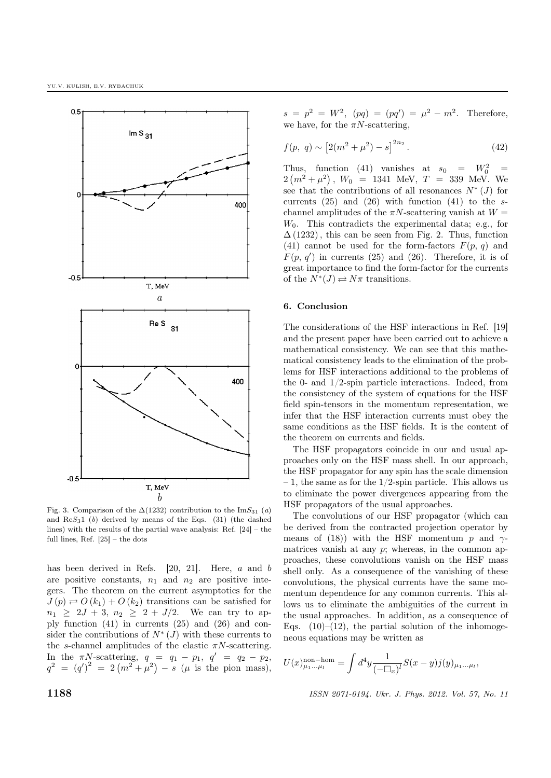

Fig. 3. Comparison of the  $\Delta(1232)$  contribution to the Im $S_{31}$  (a) and ReS31 (b) derived by means of the Eqs. (31) (the dashed lines) with the results of the partial wave analysis: Ref. [24] – the full lines, Ref. [25] – the dots

has been derived in Refs. [20, 21]. Here, a and b are positive constants,  $n_1$  and  $n_2$  are positive integers. The theorem on the current asymptotics for the  $J(p) \rightleftarrows O(k_1) + O(k_2)$  transitions can be satisfied for  $n_1 \geq 2J + 3, n_2 \geq 2 + J/2.$  We can try to apply function (41) in currents (25) and (26) and consider the contributions of  $N^*(J)$  with these currents to the s-channel amplitudes of the elastic  $\pi N$ -scattering. In the  $\pi N$ -scattering,  $q = q_1 - p_1$ ,  $q' = q_2 - p_2$ ,  $q^2 = (q')^2 = 2(m^2 + \mu^2) - s$  ( $\mu$  is the pion mass),

 $s = p^2 = W^2$ ,  $(pq) = (pq') = \mu^2 - m^2$ . Therefore, we have, for the  $\pi N$ -scattering,

$$
f(p, q) \sim [2(m^2 + \mu^2) - s]^{2n_2}.
$$
 (42)

Thus, function (41) vanishes at  $s_0 = W_0^2$  $2(m^2 + \mu^2)$ ,  $W_0$  = 1341 MeV,  $T$  = 339 MeV. We see that the contributions of all resonances  $N^*(J)$  for currents  $(25)$  and  $(26)$  with function  $(41)$  to the schannel amplitudes of the  $\pi N$ -scattering vanish at  $W =$  $W_0$ . This contradicts the experimental data; e.g., for  $\Delta(1232)$ , this can be seen from Fig. 2. Thus, function (41) cannot be used for the form-factors  $F(p, q)$  and  $F(p, q')$  in currents (25) and (26). Therefore, it is of great importance to find the form-factor for the currents of the  $N^*(J) \rightleftarrows N\pi$  transitions.

### 6. Conclusion

The considerations of the HSF interactions in Ref. [19] and the present paper have been carried out to achieve a mathematical consistency. We can see that this mathematical consistency leads to the elimination of the problems for HSF interactions additional to the problems of the 0- and 1/2-spin particle interactions. Indeed, from the consistency of the system of equations for the HSF field spin-tensors in the momentum representation, we infer that the HSF interaction currents must obey the same conditions as the HSF fields. It is the content of the theorem on currents and fields.

The HSF propagators coincide in our and usual approaches only on the HSF mass shell. In our approach, the HSF propagator for any spin has the scale dimension  $-1$ , the same as for the 1/2-spin particle. This allows us to eliminate the power divergences appearing from the HSF propagators of the usual approaches.

The convolutions of our HSF propagator (which can be derived from the contracted projection operator by means of (18)) with the HSF momentum p and  $\gamma$ matrices vanish at any  $p$ ; whereas, in the common approaches, these convolutions vanish on the HSF mass shell only. As a consequence of the vanishing of these convolutions, the physical currents have the same momentum dependence for any common currents. This allows us to eliminate the ambiguities of the current in the usual approaches. In addition, as a consequence of Eqs.  $(10)$ – $(12)$ , the partial solution of the inhomogeneous equations may be written as

$$
U(x)_{\mu_1...\mu_l}^{\text{non-hom}} = \int d^4y \frac{1}{(-\Box_x)^l} S(x-y) j(y)_{\mu_1...\mu_l},
$$

**1188** ISSN 2071-0194. Ukr. J. Phys. 2012. Vol. 57, No. 11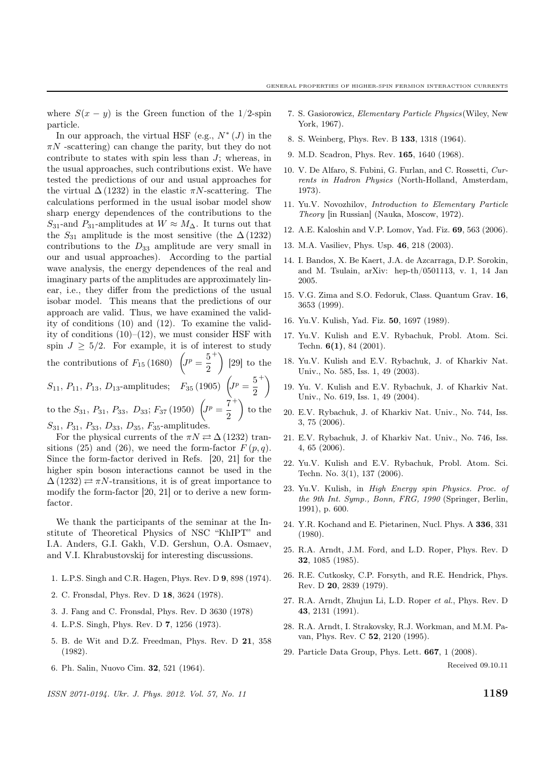where  $S(x - y)$  is the Green function of the 1/2-spin particle.

In our approach, the virtual HSF (e.g.,  $N^*(J)$  in the  $\pi N$  -scattering) can change the parity, but they do not contribute to states with spin less than J; whereas, in the usual approaches, such contributions exist. We have tested the predictions of our and usual approaches for the virtual  $\Delta(1232)$  in the elastic  $\pi N$ -scattering. The calculations performed in the usual isobar model show sharp energy dependences of the contributions to the  $S_{31}$ -and  $P_{31}$ -amplitudes at  $W \approx M_{\Delta}$ . It turns out that the  $S_{31}$  amplitude is the most sensitive (the  $\Delta(1232)$ ) contributions to the  $D_{33}$  amplitude are very small in our and usual approaches). According to the partial wave analysis, the energy dependences of the real and imaginary parts of the amplitudes are approximately linear, i.e., they differ from the predictions of the usual isobar model. This means that the predictions of our approach are valid. Thus, we have examined the validity of conditions (10) and (12). To examine the validity of conditions  $(10)$ – $(12)$ , we must consider HSF with spin  $J \geq 5/2$ . For example, it is of interest to study the contributions of  $F_{15}$  (1680)  $\left(J^p = \frac{5}{2}\right)$ 2 <sup>+</sup> $\big)$  [29] to the

$$
S_{11}
$$
,  $P_{11}$ ,  $P_{13}$ ,  $D_{13}$ -amplitudes;  $F_{35}$  (1905)  $\left(J^p = \frac{5}{2}^+\right)$   
to the  $S_{31}$ ,  $P_{31}$ ,  $P_{33}$ ,  $D_{33}$ ;  $F_{37}$  (1950)  $\left(J^p = \frac{7}{2}^+\right)$  to the  $S_{31}$ ,  $P_{31}$ ,  $P_{33}$ ,  $D_{33}$ ,  $D_{35}$ ,  $F_{35}$ -amplitudes.

For the physical currents of the  $\pi N \rightleftarrows \Delta$  (1232) transitions (25) and (26), we need the form-factor  $F(p,q)$ . Since the form-factor derived in Refs. [20, 21] for the higher spin boson interactions cannot be used in the  $\Delta(1232) \rightleftarrows \pi N$ -transitions, it is of great importance to modify the form-factor [20, 21] or to derive a new formfactor.

We thank the participants of the seminar at the Institute of Theoretical Physics of NSC "KhIPT" and I.A. Anders, G.I. Gakh, V.D. Gershun, O.A. Osmaev, and V.I. Khrabustovskij for interesting discussions.

- 1. L.P.S. Singh and C.R. Hagen, Phys. Rev. D 9, 898 (1974).
- 2. C. Fronsdal, Phys. Rev. D 18, 3624 (1978).
- 3. J. Fang and C. Fronsdal, Phys. Rev. D 3630 (1978)
- 4. L.P.S. Singh, Phys. Rev. D 7, 1256 (1973).
- 5. B. de Wit and D.Z. Freedman, Phys. Rev. D 21, 358 (1982).
- 6. Ph. Salin, Nuovo Cim. 32, 521 (1964).

ISSN 2071-0194. Ukr. J. Phys. 2012. Vol. 57, No. 11  $1189$ 

- 7. S. Gasiorowicz, Elementary Particle Physics(Wiley, New York, 1967).
- 8. S. Weinberg, Phys. Rev. B 133, 1318 (1964).
- 9. M.D. Scadron, Phys. Rev. 165, 1640 (1968).
- 10. V. De Alfaro, S. Fubini, G. Furlan, and C. Rossetti, Currents in Hadron Physics (North-Holland, Amsterdam, 1973).
- 11. Yu.V. Novozhilov, Introduction to Elementary Particle Theory [in Russian] (Nauka, Moscow, 1972).
- 12. A.E. Kaloshin and V.P. Lomov, Yad. Fiz. 69, 563 (2006).
- 13. M.A. Vasiliev, Phys. Usp. 46, 218 (2003).
- 14. I. Bandos, X. Be Kaert, J.A. de Azcarraga, D.P. Sorokin, and M. Tsulain, arXiv: hep-th/0501113, v. 1, 14 Jan 2005.
- 15. V.G. Zima and S.O. Fedoruk, Class. Quantum Grav. 16, 3653 (1999).
- 16. Yu.V. Kulish, Yad. Fiz. 50, 1697 (1989).
- 17. Yu.V. Kulish and E.V. Rybachuk, Probl. Atom. Sci. Techn. 6(1), 84 (2001).
- 18. Yu.V. Kulish and E.V. Rybachuk, J. of Kharkiv Nat. Univ., No. 585, Iss. 1, 49 (2003).
- 19. Yu. V. Kulish and E.V. Rybachuk, J. of Kharkiv Nat. Univ., No. 619, Iss. 1, 49 (2004).
- 20. E.V. Rybachuk, J. of Kharkiv Nat. Univ., No. 744, Iss. 3, 75 (2006).
- 21. E.V. Rybachuk, J. of Kharkiv Nat. Univ., No. 746, Iss. 4, 65 (2006).
- 22. Yu.V. Kulish and E.V. Rybachuk, Probl. Atom. Sci. Techn. No. 3(1), 137 (2006).
- 23. Yu.V. Kulish, in High Energy spin Physics. Proc. of the 9th Int. Symp., Bonn, FRG, 1990 (Springer, Berlin, 1991), p. 600.
- 24. Y.R. Kochand and E. Pietarinen, Nucl. Phys. A 336, 331 (1980).
- 25. R.A. Arndt, J.M. Ford, and L.D. Roper, Phys. Rev. D 32, 1085 (1985).
- 26. R.E. Cutkosky, C.P. Forsyth, and R.E. Hendrick, Phys. Rev. D 20, 2839 (1979).
- 27. R.A. Arndt, Zhujun Li, L.D. Roper et al., Phys. Rev. D 43, 2131 (1991).
- 28. R.A. Arndt, I. Strakovsky, R.J. Workman, and M.M. Pavan, Phys. Rev. C 52, 2120 (1995).
- 29. Particle Data Group, Phys. Lett. 667, 1 (2008).

Received 09.10.11